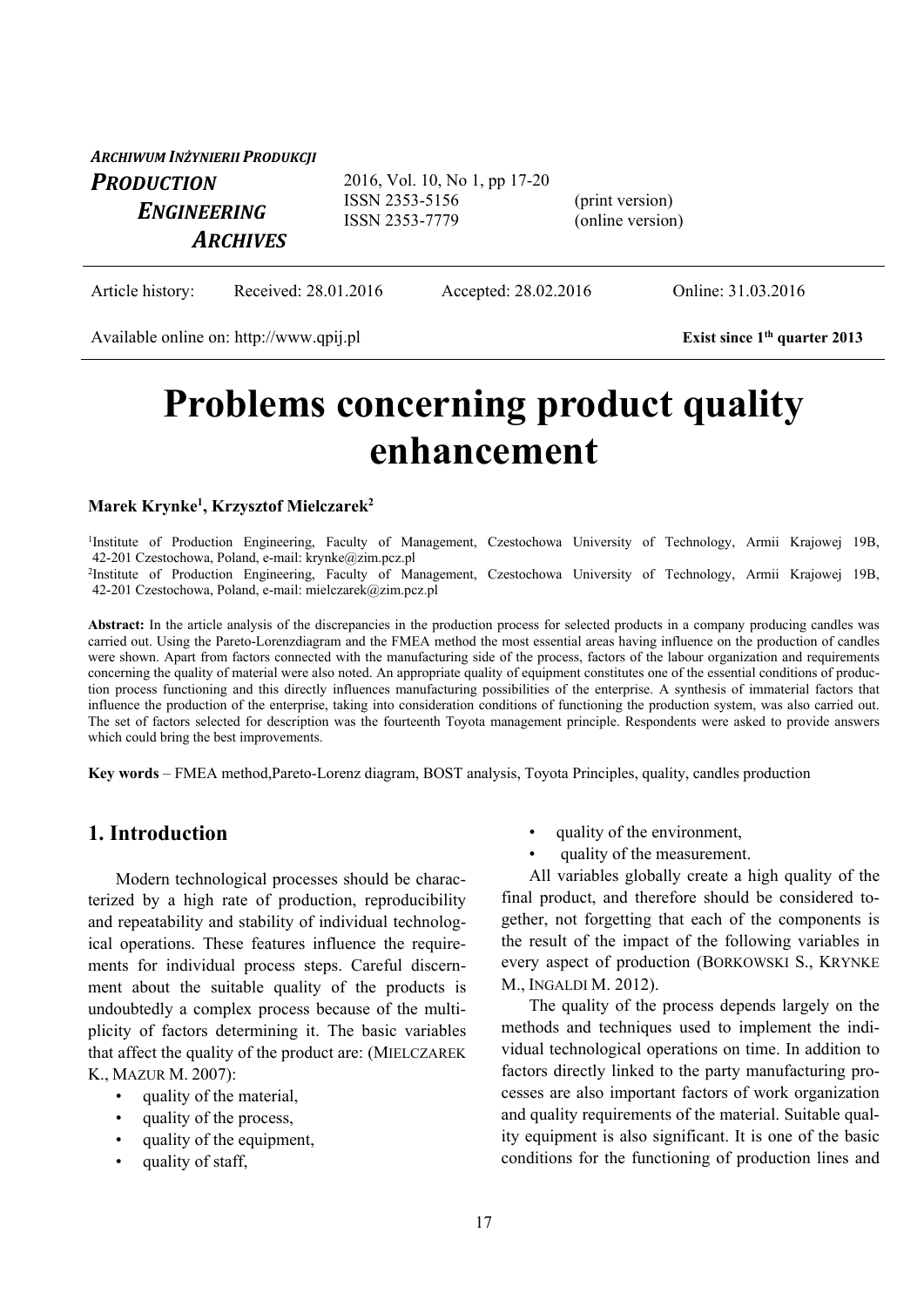| ARCHIWUM INŻYNIERII PRODUKCJI                       |                                                                   |                                     |
|-----------------------------------------------------|-------------------------------------------------------------------|-------------------------------------|
| <b>PRODUCTION</b><br>ENGINEERING<br><b>ARCHIVES</b> | 2016, Vol. 10, No 1, pp 17-20<br>ISSN 2353-5156<br>ISSN 2353-7779 | (print version)<br>(online version) |
|                                                     |                                                                   |                                     |

Article history: Received: 28.01.2016 Accepted: 28.02.2016 Online: 31.03.2016

Available online on: http://www.qpij.pl **Exist since 1<sup>th</sup> quarter 2013** 

# **Problems concerning product quality enhancement**

#### **Marek Krynke1 , Krzysztof Mielczarek2**

<sup>1</sup>Institute of Production Engineering, Faculty of Management, Czestochowa University of Technology, Armii Krajowej 19B, 42-201 Czestochowa, Poland, e-mail: krynke@zim.pcz.pl <sup>2</sup>Institute of Production Engineering, Faculty of Management, Czestochowa University of Technology, Armii Krajowej 19B, 42-201 Czestochowa, Poland, e-mail: mielczarek@zim.pcz.pl

Abstract: In the article analysis of the discrepancies in the production process for selected products in a company producing candles was carried out. Using the Pareto-Lorenzdiagram and the FMEA method the most essential areas having influence on the production of candles were shown. Apart from factors connected with the manufacturing side of the process, factors of the labour organization and requirements concerning the quality of material were also noted. An appropriate quality of equipment constitutes one of the essential conditions of production process functioning and this directly influences manufacturing possibilities of the enterprise. A synthesis of immaterial factors that influence the production of the enterprise, taking into consideration conditions of functioning the production system, was also carried out. The set of factors selected for description was the fourteenth Toyota management principle. Respondents were asked to provide answers which could bring the best improvements.

**Key words** – FMEA method,Pareto-Lorenz diagram, BOST analysis, Toyota Principles, quality, candles production

### **1. Introduction**

Modern technological processes should be characterized by a high rate of production, reproducibility and repeatability and stability of individual technological operations. These features influence the requirements for individual process steps. Careful discernment about the suitable quality of the products is undoubtedly a complex process because of the multiplicity of factors determining it. The basic variables that affect the quality of the product are: (MIELCZAREK K., MAZUR M. 2007):

- quality of the material,
- quality of the process,
- quality of the equipment,
- quality of staff,
- quality of the environment,
- quality of the measurement.

All variables globally create a high quality of the final product, and therefore should be considered together, not forgetting that each of the components is the result of the impact of the following variables in every aspect of production (BORKOWSKI S., KRYNKE M., INGALDI M. 2012).

The quality of the process depends largely on the methods and techniques used to implement the individual technological operations on time. In addition to factors directly linked to the party manufacturing processes are also important factors of work organization and quality requirements of the material. Suitable quality equipment is also significant. It is one of the basic conditions for the functioning of production lines and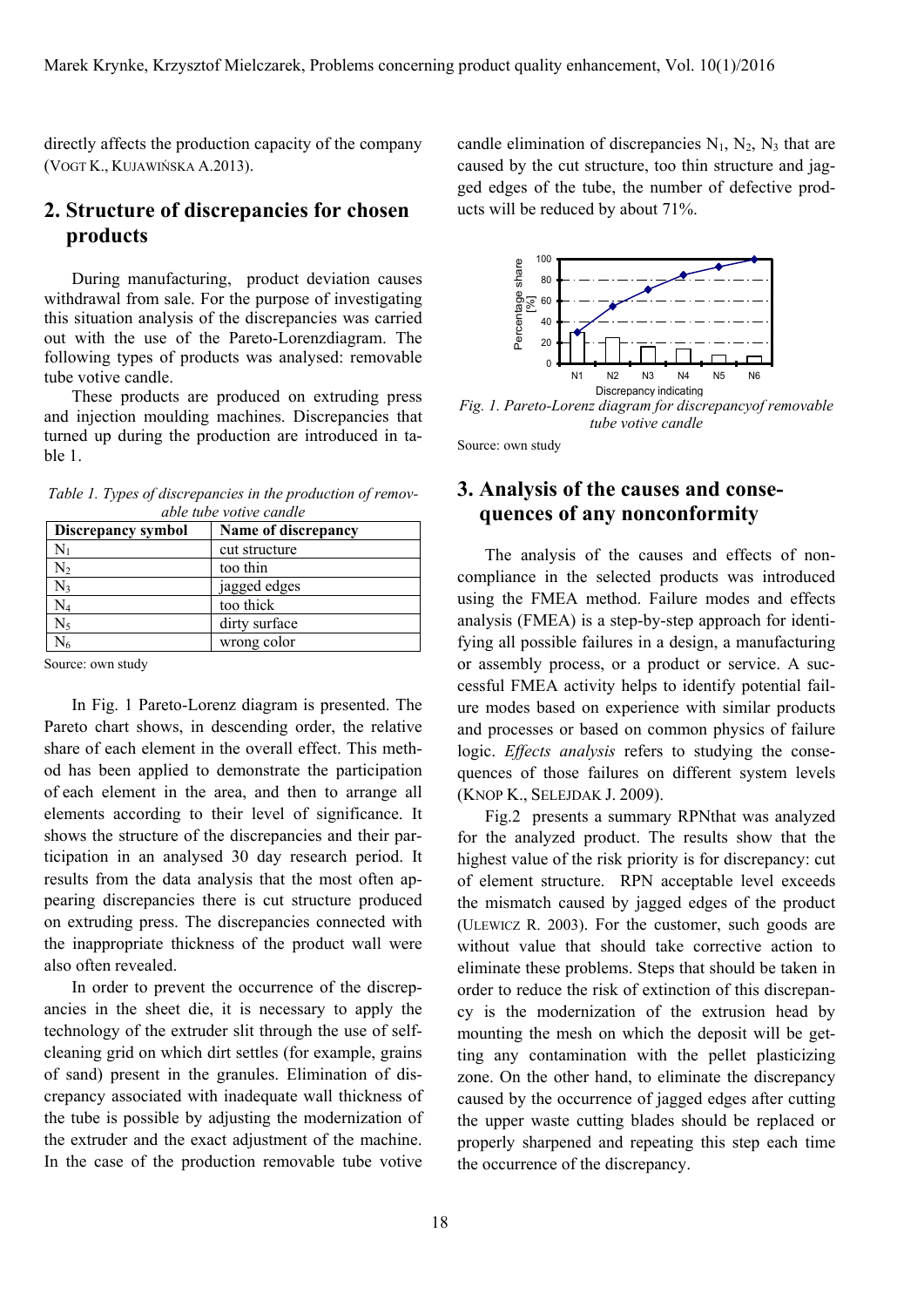directly affects the production capacity of the company (VOGT K., KUJAWIŃSKA A.2013).

### **2. Structure of discrepancies for chosen products**

During manufacturing, product deviation causes withdrawal from sale. For the purpose of investigating this situation analysis of the discrepancies was carried out with the use of the Pareto-Lorenzdiagram. The following types of products was analysed: removable tube votive candle.

These products are produced on extruding press and injection moulding machines. Discrepancies that turned up during the production are introduced in table 1.

*Table 1. Types of discrepancies in the production of removable tube votive candle*

| Discrepancy symbol | Name of discrepancy |
|--------------------|---------------------|
|                    | cut structure       |
| $\rm N_2$          | too thin            |
| $N_3$              | jagged edges        |
| $\rm N_4$          | too thick           |
| $N_5$              | dirty surface       |
|                    | wrong color         |
|                    |                     |

Source: own study

In Fig. 1 Pareto-Lorenz diagram is presented. The Pareto chart shows, in descending order, the relative share of each element in the overall effect. This method has been applied to demonstrate the participation of each element in the area, and then to arrange all elements according to their level of significance. It shows the structure of the discrepancies and their participation in an analysed 30 day research period. It results from the data analysis that the most often appearing discrepancies there is cut structure produced on extruding press. The discrepancies connected with the inappropriate thickness of the product wall were also often revealed.

In order to prevent the occurrence of the discrepancies in the sheet die, it is necessary to apply the technology of the extruder slit through the use of selfcleaning grid on which dirt settles (for example, grains of sand) present in the granules. Elimination of discrepancy associated with inadequate wall thickness of the tube is possible by adjusting the modernization of the extruder and the exact adjustment of the machine. In the case of the production removable tube votive

candle elimination of discrepancies  $N_1$ ,  $N_2$ ,  $N_3$  that are caused by the cut structure, too thin structure and jagged edges of the tube, the number of defective products will be reduced by about 71%.



*Fig. 1. Pareto-Lorenz diagram for discrepancyof removable tube votive candle*

Source: own study

# **3. Analysis of the causes and consequences of any nonconformity**

The analysis of the causes and effects of noncompliance in the selected products was introduced using the FMEA method. Failure modes and effects analysis (FMEA) is a step-by-step approach for identifying all possible failures in a design, a manufacturing or assembly process, or a product or service. A successful FMEA activity helps to identify potential failure modes based on experience with similar products and processes or based on common physics of failure logic. *Effects analysis* refers to studying the consequences of those failures on different system levels (KNOP K., SELEJDAK J. 2009).

Fig.2 presents a summary RPNthat was analyzed for the analyzed product. The results show that the highest value of the risk priority is for discrepancy: cut of element structure. RPN acceptable level exceeds the mismatch caused by jagged edges of the product (ULEWICZ R. 2003). For the customer, such goods are without value that should take corrective action to eliminate these problems. Steps that should be taken in order to reduce the risk of extinction of this discrepancy is the modernization of the extrusion head by mounting the mesh on which the deposit will be getting any contamination with the pellet plasticizing zone. On the other hand, to eliminate the discrepancy caused by the occurrence of jagged edges after cutting the upper waste cutting blades should be replaced or properly sharpened and repeating this step each time the occurrence of the discrepancy.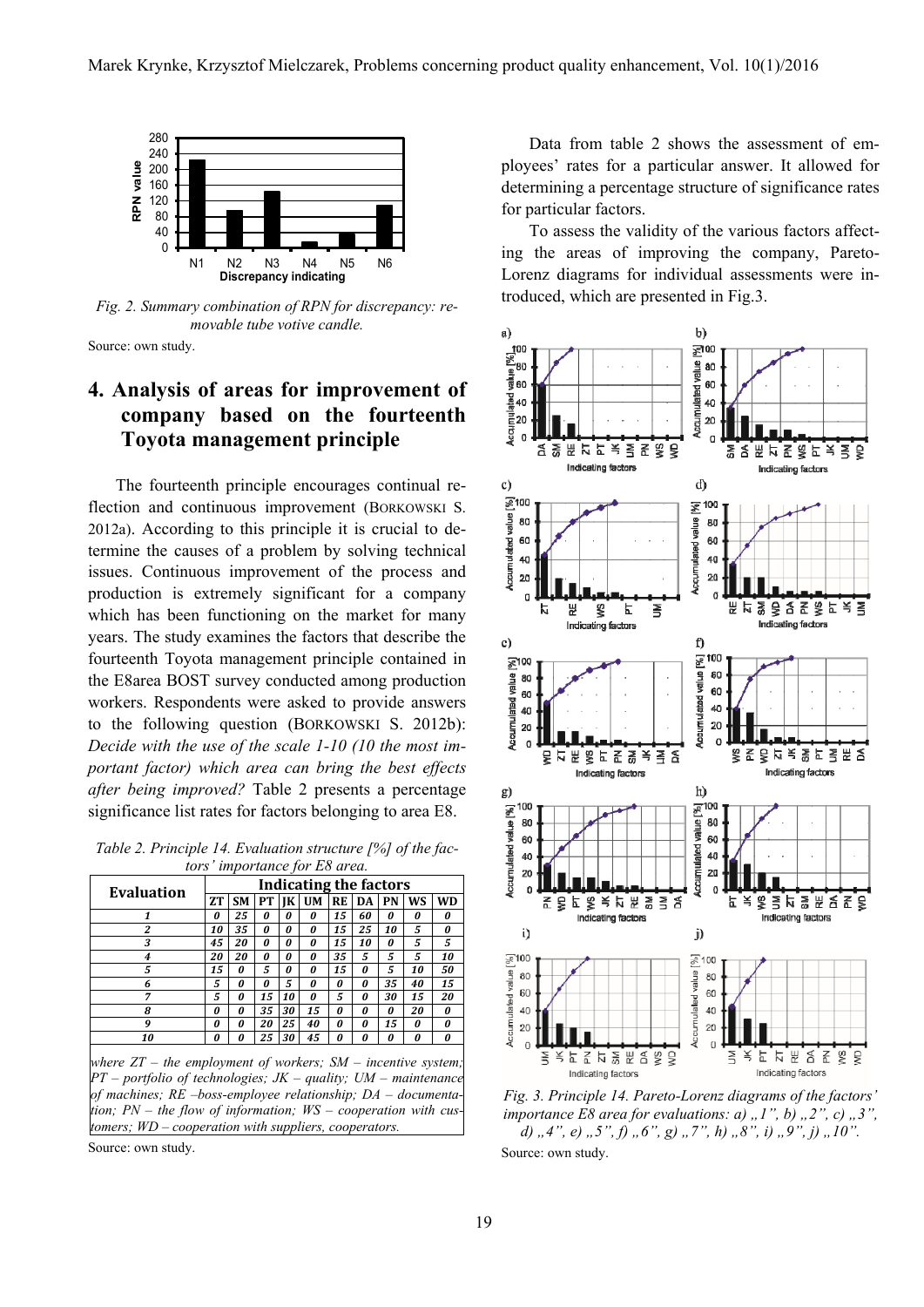

*Fig. 2. Summary combination of RPN for discrepancy: removable tube votive candle.*

Source: own study.

# **4. Analysis of areas for improvement of company based on the fourteenth Toyota management principle**

The fourteenth principle encourages continual reflection and continuous improvement (BORKOWSKI S. 2012a). According to this principle it is crucial to determine the causes of a problem by solving technical issues. Continuous improvement of the process and production is extremely significant for a company which has been functioning on the market for many years. The study examines the factors that describe the fourteenth Toyota management principle contained in the E8area BOST survey conducted among production workers. Respondents were asked to provide answers to the following question (BORKOWSKI S. 2012b): *Decide with the use of the scale 1-10 (10 the most important factor) which area can bring the best effects after being improved?* Table 2 presents a percentage significance list rates for factors belonging to area E8.

*Table 2. Principle 14. Evaluation structure [%] of the factors' importance for E8 area.* 

| Evaluation | Indicating the factors |           |    |    |           |    |    |    |    |           |
|------------|------------------------|-----------|----|----|-----------|----|----|----|----|-----------|
|            | <b>ZT</b>              | <b>SM</b> | PТ | IK | <b>UM</b> | RE | DA | PN | WS | <b>WD</b> |
|            | 0                      | 25        | 0  | 0  | 0         | 15 | 60 | 0  | 0  | 0         |
| 2          | 10                     | 35        | O  | 0  | o         | 15 | 25 | 10 | 5  | ŋ         |
| 3          | 45                     | 20        | 0  | 0  | 0         | 15 | 10 | 0  | 5  | 5         |
| 4          | 20                     | 20        | O  | 0  | ŋ         | 35 | 5  | 5  | 5  | 10        |
| 5          | 15                     | 0         | 5  | 0  | ŋ         | 15 | 0  | 5  | 10 | 50        |
| 6          | 5                      | 0         | O  | 5  | ŋ         | ŋ  | O  | 35 | 40 | 15        |
| 7          | 5                      | 0         | 15 | 10 | ŋ         | 5  | O  | 30 | 15 | 20        |
| 8          | O                      | 0         | 35 | 30 | 15        | O  | O  | O  | 20 | 0         |
| 9          | 0                      | 0         | 20 | 25 | 40        | 0  | 0  | 15 | 0  | 0         |
| 10         | O                      | ŋ         | 25 | 30 | 45        | п  | 0  | ŋ  |    |           |

*where ZT – the employment of workers; SM – incentive system; PT – portfolio of technologies; JK – quality; UM – maintenance of machines; RE –boss-employee relationship; DA – documentation; PN – the flow of information; WS – cooperation with customers; WD – cooperation with suppliers, cooperators.*

Source: own study.

Data from table 2 shows the assessment of employees' rates for a particular answer. It allowed for determining a percentage structure of significance rates for particular factors.

To assess the validity of the various factors affecting the areas of improving the company, Pareto-Lorenz diagrams for individual assessments were introduced, which are presented in Fig.3.



*Fig. 3. Principle 14. Pareto-Lorenz diagrams of the factors' importance E8 area for evaluations: a)*  $\langle$ ,  $I''$ ,  $b$ )  $\langle$ ,  $2''$ ,  $c$ )  $\langle$ ,  $3''$ *d*),  $4$ ,  $\theta$ ,  $5$ ,  $\theta$ ,  $\theta$ ,  $\theta$ ,  $\theta$ ,  $\theta$ ,  $\theta$ ,  $\theta$ ,  $\theta$ ,  $\theta$ ,  $\theta$ ,  $\theta$ ,  $\theta$ ,  $\theta$ ,  $\theta$ ,  $\theta$ , Source: own study.